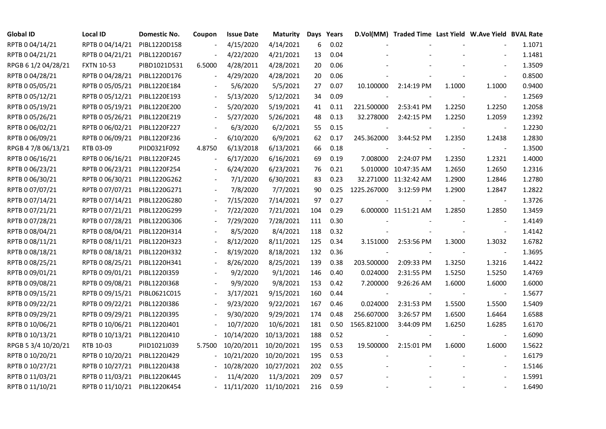| <b>Global ID</b>    | <b>Local ID</b>              | Domestic No. | Coupon                   | <b>Issue Date</b>          | <b>Maturity</b> |     | Days Years |                | D.Vol(MM) Traded Time Last Yield W.Ave Yield BVAL Rate |        |                          |        |
|---------------------|------------------------------|--------------|--------------------------|----------------------------|-----------------|-----|------------|----------------|--------------------------------------------------------|--------|--------------------------|--------|
| RPTB 0 04/14/21     | RPTB 0 04/14/21              | PIBL1220D158 |                          | 4/15/2020                  | 4/14/2021       | 6   | 0.02       |                |                                                        |        |                          | 1.1071 |
| RPTB 0 04/21/21     | RPTB 0 04/21/21              | PIBL1220D167 |                          | 4/22/2020                  | 4/21/2021       | 13  | 0.04       |                |                                                        |        |                          | 1.1481 |
| RPGB 6 1/2 04/28/21 | <b>FXTN 10-53</b>            | PIBD1021D531 | 6.5000                   | 4/28/2011                  | 4/28/2021       | 20  | 0.06       |                |                                                        |        |                          | 1.3509 |
| RPTB 0 04/28/21     | RPTB 0 04/28/21              | PIBL1220D176 | $\overline{\phantom{a}}$ | 4/29/2020                  | 4/28/2021       | 20  | 0.06       |                |                                                        |        | $\overline{\phantom{a}}$ | 0.8500 |
| RPTB 0 05/05/21     | RPTB 0 05/05/21              | PIBL1220E184 |                          | 5/6/2020                   | 5/5/2021        | 27  | 0.07       | 10.100000      | 2:14:19 PM                                             | 1.1000 | 1.1000                   | 0.9400 |
| RPTB 0 05/12/21     | RPTB 0 05/12/21              | PIBL1220E193 |                          | 5/13/2020                  | 5/12/2021       | 34  | 0.09       |                |                                                        |        | $\sim$                   | 1.2569 |
| RPTB 0 05/19/21     | RPTB 0 05/19/21              | PIBL1220E200 |                          | 5/20/2020                  | 5/19/2021       | 41  | 0.11       | 221.500000     | 2:53:41 PM                                             | 1.2250 | 1.2250                   | 1.2058 |
| RPTB 0 05/26/21     | RPTB 0 05/26/21              | PIBL1220E219 |                          | 5/27/2020                  | 5/26/2021       | 48  | 0.13       | 32.278000      | 2:42:15 PM                                             | 1.2250 | 1.2059                   | 1.2392 |
| RPTB 0 06/02/21     | RPTB 0 06/02/21              | PIBL1220F227 |                          | 6/3/2020                   | 6/2/2021        | 55  | 0.15       |                |                                                        |        |                          | 1.2230 |
| RPTB 0 06/09/21     | RPTB 0 06/09/21              | PIBL1220F236 |                          | 6/10/2020                  | 6/9/2021        | 62  | 0.17       | 245.362000     | 3:44:52 PM                                             | 1.2350 | 1.2438                   | 1.2830 |
| RPGB 4 7/8 06/13/21 | RTB 03-09                    | PIID0321F092 | 4.8750                   | 6/13/2018                  | 6/13/2021       | 66  | 0.18       |                |                                                        |        | $\overline{\phantom{a}}$ | 1.3500 |
| RPTB 0 06/16/21     | RPTB 0 06/16/21              | PIBL1220F245 | $\overline{\phantom{a}}$ | 6/17/2020                  | 6/16/2021       | 69  | 0.19       | 7.008000       | 2:24:07 PM                                             | 1.2350 | 1.2321                   | 1.4000 |
| RPTB 0 06/23/21     | RPTB 0 06/23/21              | PIBL1220F254 |                          | 6/24/2020                  | 6/23/2021       | 76  | 0.21       |                | 5.010000 10:47:35 AM                                   | 1.2650 | 1.2650                   | 1.2316 |
| RPTB 0 06/30/21     | RPTB 0 06/30/21              | PIBL1220G262 |                          | 7/1/2020                   | 6/30/2021       | 83  | 0.23       |                | 32.271000 11:32:42 AM                                  | 1.2900 | 1.2846                   | 1.2780 |
| RPTB 0 07/07/21     | RPTB 0 07/07/21              | PIBL1220G271 |                          | 7/8/2020                   | 7/7/2021        | 90  | 0.25       | 1225.267000    | 3:12:59 PM                                             | 1.2900 | 1.2847                   | 1.2822 |
| RPTB 0 07/14/21     | RPTB 0 07/14/21              | PIBL1220G280 |                          | 7/15/2020                  | 7/14/2021       | 97  | 0.27       |                |                                                        |        | $\overline{\phantom{a}}$ | 1.3726 |
| RPTB 0 07/21/21     | RPTB 0 07/21/21              | PIBL1220G299 |                          | 7/22/2020                  | 7/21/2021       | 104 | 0.29       |                | 6.000000 11:51:21 AM                                   | 1.2850 | 1.2850                   | 1.3459 |
| RPTB 0 07/28/21     | RPTB 0 07/28/21              | PIBL1220G306 | $\overline{\phantom{a}}$ | 7/29/2020                  | 7/28/2021       | 111 | 0.30       |                |                                                        |        |                          | 1.4149 |
| RPTB 0 08/04/21     | RPTB 0 08/04/21              | PIBL1220H314 |                          | 8/5/2020                   | 8/4/2021        | 118 | 0.32       |                |                                                        |        | $\overline{\phantom{a}}$ | 1.4142 |
| RPTB 0 08/11/21     | RPTB 0 08/11/21              | PIBL1220H323 |                          | 8/12/2020                  | 8/11/2021       | 125 | 0.34       | 3.151000       | 2:53:56 PM                                             | 1.3000 | 1.3032                   | 1.6782 |
| RPTB 0 08/18/21     | RPTB 0 08/18/21              | PIBL1220H332 |                          | 8/19/2020                  | 8/18/2021       | 132 | 0.36       | $\blacksquare$ |                                                        |        | $\overline{\phantom{a}}$ | 1.3695 |
| RPTB 0 08/25/21     | RPTB 0 08/25/21              | PIBL1220H341 |                          | 8/26/2020                  | 8/25/2021       | 139 | 0.38       | 203.500000     | 2:09:33 PM                                             | 1.3250 | 1.3216                   | 1.4422 |
| RPTB 0 09/01/21     | RPTB 0 09/01/21              | PIBL1220I359 |                          | 9/2/2020                   | 9/1/2021        | 146 | 0.40       | 0.024000       | 2:31:55 PM                                             | 1.5250 | 1.5250                   | 1.4769 |
| RPTB 0 09/08/21     | RPTB 0 09/08/21              | PIBL1220I368 |                          | 9/9/2020                   | 9/8/2021        | 153 | 0.42       | 7.200000       | 9:26:26 AM                                             | 1.6000 | 1.6000                   | 1.6000 |
| RPTB 0 09/15/21     | RPTB 0 09/15/21              | PIBL0621C015 | $\overline{\phantom{a}}$ | 3/17/2021                  | 9/15/2021       | 160 | 0.44       |                |                                                        |        | $\overline{\phantom{a}}$ | 1.5677 |
| RPTB 0 09/22/21     | RPTB 0 09/22/21              | PIBL1220I386 |                          | 9/23/2020                  | 9/22/2021       | 167 | 0.46       | 0.024000       | 2:31:53 PM                                             | 1.5500 | 1.5500                   | 1.5409 |
| RPTB 0 09/29/21     | RPTB 0 09/29/21              | PIBL1220I395 |                          | 9/30/2020                  | 9/29/2021       | 174 | 0.48       | 256.607000     | 3:26:57 PM                                             | 1.6500 | 1.6464                   | 1.6588 |
| RPTB 0 10/06/21     | RPTB 0 10/06/21              | PIBL1220J401 |                          | 10/7/2020                  | 10/6/2021       | 181 | 0.50       | 1565.821000    | 3:44:09 PM                                             | 1.6250 | 1.6285                   | 1.6170 |
| RPTB 0 10/13/21     | RPTB 0 10/13/21              | PIBL1220J410 |                          | 10/14/2020                 | 10/13/2021      | 188 | 0.52       |                |                                                        |        | $\overline{\phantom{a}}$ | 1.6090 |
| RPGB 5 3/4 10/20/21 | RTB 10-03                    | PIID1021J039 | 5.7500                   | 10/20/2011                 | 10/20/2021      | 195 | 0.53       | 19.500000      | 2:15:01 PM                                             | 1.6000 | 1.6000                   | 1.5622 |
| RPTB 0 10/20/21     | RPTB 0 10/20/21              | PIBL1220J429 |                          | 10/21/2020                 | 10/20/2021      | 195 | 0.53       |                |                                                        |        |                          | 1.6179 |
| RPTB 0 10/27/21     | RPTB 0 10/27/21              | PIBL1220J438 |                          | 10/28/2020                 | 10/27/2021      | 202 | 0.55       |                |                                                        |        | $\overline{\phantom{a}}$ | 1.5146 |
| RPTB 0 11/03/21     | RPTB 0 11/03/21              | PIBL1220K445 |                          | 11/4/2020                  | 11/3/2021       | 209 | 0.57       |                |                                                        |        |                          | 1.5991 |
| RPTB 0 11/10/21     | RPTB 0 11/10/21 PIBL1220K454 |              |                          | $-11/11/2020$ $11/10/2021$ |                 | 216 | 0.59       |                |                                                        |        |                          | 1.6490 |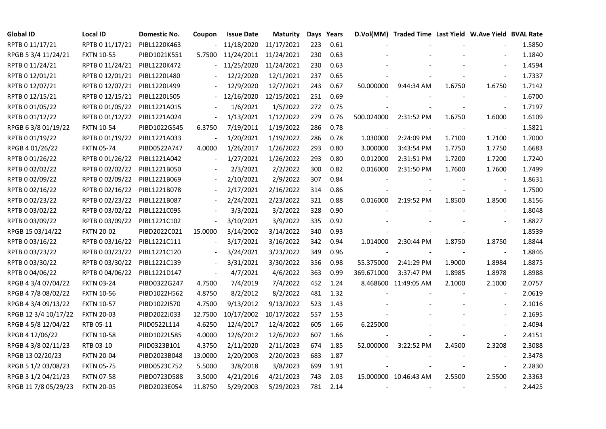| <b>Global ID</b>     | <b>Local ID</b>   | Domestic No. | Coupon                   | <b>Issue Date</b> | <b>Maturity</b>       |     | Days Years |                          | D.Vol(MM) Traded Time Last Yield W.Ave Yield BVAL Rate |        |                          |        |
|----------------------|-------------------|--------------|--------------------------|-------------------|-----------------------|-----|------------|--------------------------|--------------------------------------------------------|--------|--------------------------|--------|
| RPTB 0 11/17/21      | RPTB 0 11/17/21   | PIBL1220K463 |                          | 11/18/2020        | 11/17/2021            | 223 | 0.61       |                          |                                                        |        |                          | 1.5850 |
| RPGB 5 3/4 11/24/21  | <b>FXTN 10-55</b> | PIBD1021K551 | 5.7500                   |                   | 11/24/2011 11/24/2021 | 230 | 0.63       |                          |                                                        |        |                          | 1.1840 |
| RPTB 0 11/24/21      | RPTB 0 11/24/21   | PIBL1220K472 |                          | 11/25/2020        | 11/24/2021            | 230 | 0.63       |                          |                                                        |        |                          | 1.4594 |
| RPTB 0 12/01/21      | RPTB 0 12/01/21   | PIBL1220L480 | $\overline{\phantom{a}}$ | 12/2/2020         | 12/1/2021             | 237 | 0.65       |                          |                                                        |        | $\overline{\phantom{a}}$ | 1.7337 |
| RPTB 0 12/07/21      | RPTB 0 12/07/21   | PIBL1220L499 |                          | 12/9/2020         | 12/7/2021             | 243 | 0.67       | 50.000000                | 9:44:34 AM                                             | 1.6750 | 1.6750                   | 1.7142 |
| RPTB 0 12/15/21      | RPTB 0 12/15/21   | PIBL1220L505 |                          | 12/16/2020        | 12/15/2021            | 251 | 0.69       |                          |                                                        |        |                          | 1.6700 |
| RPTB 0 01/05/22      | RPTB 0 01/05/22   | PIBL1221A015 |                          | 1/6/2021          | 1/5/2022              | 272 | 0.75       |                          |                                                        |        | $\overline{\phantom{a}}$ | 1.7197 |
| RPTB 0 01/12/22      | RPTB 0 01/12/22   | PIBL1221A024 | $\Box$                   | 1/13/2021         | 1/12/2022             | 279 | 0.76       | 500.024000               | 2:31:52 PM                                             | 1.6750 | 1.6000                   | 1.6109 |
| RPGB 63/8 01/19/22   | <b>FXTN 10-54</b> | PIBD1022G545 | 6.3750                   | 7/19/2011         | 1/19/2022             | 286 | 0.78       |                          |                                                        |        |                          | 1.5821 |
| RPTB 0 01/19/22      | RPTB 0 01/19/22   | PIBL1221A033 |                          | 1/20/2021         | 1/19/2022             | 286 | 0.78       | 1.030000                 | 2:24:09 PM                                             | 1.7100 | 1.7100                   | 1.7000 |
| RPGB 4 01/26/22      | <b>FXTN 05-74</b> | PIBD0522A747 | 4.0000                   | 1/26/2017         | 1/26/2022             | 293 | 0.80       | 3.000000                 | 3:43:54 PM                                             | 1.7750 | 1.7750                   | 1.6683 |
| RPTB 0 01/26/22      | RPTB 0 01/26/22   | PIBL1221A042 | $\overline{\phantom{a}}$ | 1/27/2021         | 1/26/2022             | 293 | 0.80       | 0.012000                 | 2:31:51 PM                                             | 1.7200 | 1.7200                   | 1.7240 |
| RPTB 0 02/02/22      | RPTB 0 02/02/22   | PIBL1221B050 |                          | 2/3/2021          | 2/2/2022              | 300 | 0.82       | 0.016000                 | 2:31:50 PM                                             | 1.7600 | 1.7600                   | 1.7499 |
| RPTB 0 02/09/22      | RPTB 0 02/09/22   | PIBL1221B069 | $\blacksquare$           | 2/10/2021         | 2/9/2022              | 307 | 0.84       |                          |                                                        |        | $\blacksquare$           | 1.8631 |
| RPTB 0 02/16/22      | RPTB 0 02/16/22   | PIBL1221B078 |                          | 2/17/2021         | 2/16/2022             | 314 | 0.86       |                          |                                                        |        | $\blacksquare$           | 1.7500 |
| RPTB 0 02/23/22      | RPTB 0 02/23/22   | PIBL1221B087 |                          | 2/24/2021         | 2/23/2022             | 321 | 0.88       | 0.016000                 | 2:19:52 PM                                             | 1.8500 | 1.8500                   | 1.8156 |
| RPTB 0 03/02/22      | RPTB 0 03/02/22   | PIBL1221C095 |                          | 3/3/2021          | 3/2/2022              | 328 | 0.90       |                          |                                                        |        |                          | 1.8048 |
| RPTB 0 03/09/22      | RPTB 0 03/09/22   | PIBL1221C102 | $\blacksquare$           | 3/10/2021         | 3/9/2022              | 335 | 0.92       |                          |                                                        |        | $\overline{\phantom{a}}$ | 1.8827 |
| RPGB 15 03/14/22     | <b>FXTN 20-02</b> | PIBD2022C021 | 15.0000                  | 3/14/2002         | 3/14/2022             | 340 | 0.93       |                          |                                                        |        |                          | 1.8539 |
| RPTB 0 03/16/22      | RPTB 0 03/16/22   | PIBL1221C111 | $\overline{\phantom{a}}$ | 3/17/2021         | 3/16/2022             | 342 | 0.94       | 1.014000                 | 2:30:44 PM                                             | 1.8750 | 1.8750                   | 1.8844 |
| RPTB 0 03/23/22      | RPTB 0 03/23/22   | PIBL1221C120 | $\blacksquare$           | 3/24/2021         | 3/23/2022             | 349 | 0.96       | $\overline{\phantom{a}}$ | $\overline{\phantom{a}}$                               |        | $\blacksquare$           | 1.8846 |
| RPTB 0 03/30/22      | RPTB 0 03/30/22   | PIBL1221C139 | $\blacksquare$           | 3/31/2021         | 3/30/2022             | 356 | 0.98       | 55.375000                | 2:41:29 PM                                             | 1.9000 | 1.8984                   | 1.8875 |
| RPTB 0 04/06/22      | RPTB 0 04/06/22   | PIBL1221D147 |                          | 4/7/2021          | 4/6/2022              | 363 | 0.99       | 369.671000               | 3:37:47 PM                                             | 1.8985 | 1.8978                   | 1.8988 |
| RPGB 4 3/4 07/04/22  | <b>FXTN 03-24</b> | PIBD0322G247 | 4.7500                   | 7/4/2019          | 7/4/2022              | 452 | 1.24       |                          | 8.468600 11:49:05 AM                                   | 2.1000 | 2.1000                   | 2.0757 |
| RPGB 4 7/8 08/02/22  | <b>FXTN 10-56</b> | PIBD1022H562 | 4.8750                   | 8/2/2012          | 8/2/2022              | 481 | 1.32       |                          |                                                        |        | $\overline{\phantom{a}}$ | 2.0619 |
| RPGB 4 3/4 09/13/22  | <b>FXTN 10-57</b> | PIBD1022I570 | 4.7500                   | 9/13/2012         | 9/13/2022             | 523 | 1.43       |                          |                                                        |        |                          | 2.1016 |
| RPGB 12 3/4 10/17/22 | <b>FXTN 20-03</b> | PIBD2022J033 | 12.7500                  | 10/17/2002        | 10/17/2022            | 557 | 1.53       |                          |                                                        |        | $\blacksquare$           | 2.1695 |
| RPGB 4 5/8 12/04/22  | RTB 05-11         | PIID0522L114 | 4.6250                   | 12/4/2017         | 12/4/2022             | 605 | 1.66       | 6.225000                 |                                                        |        | $\blacksquare$           | 2.4094 |
| RPGB 4 12/06/22      | <b>FXTN 10-58</b> | PIBD1022L585 | 4.0000                   | 12/6/2012         | 12/6/2022             | 607 | 1.66       |                          |                                                        |        | $\blacksquare$           | 2.4151 |
| RPGB 4 3/8 02/11/23  | RTB 03-10         | PIID0323B101 | 4.3750                   | 2/11/2020         | 2/11/2023             | 674 | 1.85       | 52.000000                | 3:22:52 PM                                             | 2.4500 | 2.3208                   | 2.3088 |
| RPGB 13 02/20/23     | <b>FXTN 20-04</b> | PIBD2023B048 | 13.0000                  | 2/20/2003         | 2/20/2023             | 683 | 1.87       |                          |                                                        |        |                          | 2.3478 |
| RPGB 5 1/2 03/08/23  | <b>FXTN 05-75</b> | PIBD0523C752 | 5.5000                   | 3/8/2018          | 3/8/2023              | 699 | 1.91       |                          |                                                        |        | $\overline{\phantom{a}}$ | 2.2830 |
| RPGB 3 1/2 04/21/23  | <b>FXTN 07-58</b> | PIBD0723D588 | 3.5000                   | 4/21/2016         | 4/21/2023             | 743 | 2.03       |                          | 15.000000 10:46:43 AM                                  | 2.5500 | 2.5500                   | 2.3363 |
| RPGB 11 7/8 05/29/23 | <b>FXTN 20-05</b> | PIBD2023E054 | 11.8750                  | 5/29/2003         | 5/29/2023             | 781 | 2.14       |                          |                                                        |        |                          | 2.4425 |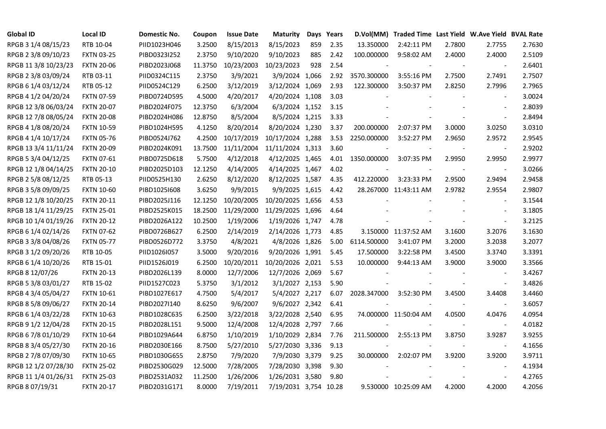| <b>Global ID</b>     | <b>Local ID</b>   | Domestic No. | Coupon  | <b>Issue Date</b> | <b>Maturity</b>       |     | Days Years |             | D.Vol(MM) Traded Time Last Yield W.Ave Yield BVAL Rate |        |                          |        |
|----------------------|-------------------|--------------|---------|-------------------|-----------------------|-----|------------|-------------|--------------------------------------------------------|--------|--------------------------|--------|
| RPGB 3 1/4 08/15/23  | RTB 10-04         | PIID1023H046 | 3.2500  | 8/15/2013         | 8/15/2023             | 859 | 2.35       | 13.350000   | 2:42:11 PM                                             | 2.7800 | 2.7755                   | 2.7630 |
| RPGB 2 3/8 09/10/23  | <b>FXTN 03-25</b> | PIBD0323I252 | 2.3750  | 9/10/2020         | 9/10/2023             | 885 | 2.42       | 100.000000  | 9:58:02 AM                                             | 2.4000 | 2.4000                   | 2.5109 |
| RPGB 11 3/8 10/23/23 | <b>FXTN 20-06</b> | PIBD2023J068 | 11.3750 | 10/23/2003        | 10/23/2023            | 928 | 2.54       |             |                                                        |        | $\overline{\phantom{a}}$ | 2.6401 |
| RPGB 2 3/8 03/09/24  | RTB 03-11         | PIID0324C115 | 2.3750  | 3/9/2021          | 3/9/2024 1,066        |     | 2.92       | 3570.300000 | 3:55:16 PM                                             | 2.7500 | 2.7491                   | 2.7507 |
| RPGB 6 1/4 03/12/24  | RTB 05-12         | PIID0524C129 | 6.2500  | 3/12/2019         | 3/12/2024 1,069       |     | 2.93       | 122.300000  | 3:50:37 PM                                             | 2.8250 | 2.7996                   | 2.7965 |
| RPGB 4 1/2 04/20/24  | <b>FXTN 07-59</b> | PIBD0724D595 | 4.5000  | 4/20/2017         | 4/20/2024 1,108       |     | 3.03       |             |                                                        |        | $\blacksquare$           | 3.0024 |
| RPGB 12 3/8 06/03/24 | <b>FXTN 20-07</b> | PIBD2024F075 | 12.3750 | 6/3/2004          | 6/3/2024 1,152        |     | 3.15       |             |                                                        |        | $\overline{\phantom{a}}$ | 2.8039 |
| RPGB 12 7/8 08/05/24 | <b>FXTN 20-08</b> | PIBD2024H086 | 12.8750 | 8/5/2004          | 8/5/2024 1,215        |     | 3.33       |             |                                                        |        | $\blacksquare$           | 2.8494 |
| RPGB 4 1/8 08/20/24  | <b>FXTN 10-59</b> | PIBD1024H595 | 4.1250  | 8/20/2014         | 8/20/2024 1,230       |     | 3.37       | 200.000000  | 2:07:37 PM                                             | 3.0000 | 3.0250                   | 3.0310 |
| RPGB 4 1/4 10/17/24  | <b>FXTN 05-76</b> | PIBD0524J762 | 4.2500  | 10/17/2019        | 10/17/2024 1,288      |     | 3.53       | 2250.000000 | 3:52:27 PM                                             | 2.9650 | 2.9572                   | 2.9545 |
| RPGB 13 3/4 11/11/24 | <b>FXTN 20-09</b> | PIBD2024K091 | 13.7500 | 11/11/2004        | 11/11/2024 1,313      |     | 3.60       |             | $\sim$                                                 | $\sim$ | $\overline{\phantom{a}}$ | 2.9202 |
| RPGB 5 3/4 04/12/25  | <b>FXTN 07-61</b> | PIBD0725D618 | 5.7500  | 4/12/2018         | 4/12/2025 1,465       |     | 4.01       | 1350.000000 | 3:07:35 PM                                             | 2.9950 | 2.9950                   | 2.9977 |
| RPGB 12 1/8 04/14/25 | <b>FXTN 20-10</b> | PIBD2025D103 | 12.1250 | 4/14/2005         | 4/14/2025 1,467       |     | 4.02       |             |                                                        |        | $\overline{\phantom{a}}$ | 3.0266 |
| RPGB 2 5/8 08/12/25  | RTB 05-13         | PIID0525H130 | 2.6250  | 8/12/2020         | 8/12/2025 1,587       |     | 4.35       | 412.220000  | 3:23:33 PM                                             | 2.9500 | 2.9494                   | 2.9458 |
| RPGB 3 5/8 09/09/25  | <b>FXTN 10-60</b> | PIBD10251608 | 3.6250  | 9/9/2015          | 9/9/2025 1,615        |     | 4.42       |             | 28.267000 11:43:11 AM                                  | 2.9782 | 2.9554                   | 2.9807 |
| RPGB 12 1/8 10/20/25 | <b>FXTN 20-11</b> | PIBD2025J116 | 12.1250 | 10/20/2005        | 10/20/2025 1,656      |     | 4.53       |             |                                                        |        |                          | 3.1544 |
| RPGB 18 1/4 11/29/25 | <b>FXTN 25-01</b> | PIBD2525K015 | 18.2500 | 11/29/2000        | 11/29/2025 1,696      |     | 4.64       |             |                                                        |        | $\overline{\phantom{a}}$ | 3.1805 |
| RPGB 10 1/4 01/19/26 | <b>FXTN 20-12</b> | PIBD2026A122 | 10.2500 | 1/19/2006         | 1/19/2026 1,747       |     | 4.78       |             |                                                        |        | $\sim$                   | 3.2125 |
| RPGB 6 1/4 02/14/26  | <b>FXTN 07-62</b> | PIBD0726B627 | 6.2500  | 2/14/2019         | 2/14/2026 1,773       |     | 4.85       |             | 3.150000 11:37:52 AM                                   | 3.1600 | 3.2076                   | 3.1630 |
| RPGB 3 3/8 04/08/26  | <b>FXTN 05-77</b> | PIBD0526D772 | 3.3750  | 4/8/2021          | 4/8/2026 1,826        |     | 5.00       | 6114.500000 | 3:41:07 PM                                             | 3.2000 | 3.2038                   | 3.2077 |
| RPGB 3 1/2 09/20/26  | RTB 10-05         | PIID1026I057 | 3.5000  | 9/20/2016         | 9/20/2026 1,991       |     | 5.45       | 17.500000   | 3:22:58 PM                                             | 3.4500 | 3.3740                   | 3.3391 |
| RPGB 6 1/4 10/20/26  | RTB 15-01         | PIID1526J019 | 6.2500  | 10/20/2011        | 10/20/2026 2,021      |     | 5.53       | 10.000000   | 9:44:13 AM                                             | 3.9000 | 3.9000                   | 3.3566 |
| RPGB 8 12/07/26      | <b>FXTN 20-13</b> | PIBD2026L139 | 8.0000  | 12/7/2006         | 12/7/2026 2,069       |     | 5.67       |             |                                                        |        |                          | 3.4267 |
| RPGB 5 3/8 03/01/27  | RTB 15-02         | PIID1527C023 | 5.3750  | 3/1/2012          | 3/1/2027 2,153        |     | 5.90       |             |                                                        |        | $\blacksquare$           | 3.4826 |
| RPGB 4 3/4 05/04/27  | <b>FXTN 10-61</b> | PIBD1027E617 | 4.7500  | 5/4/2017          | 5/4/2027 2,217        |     | 6.07       | 2028.347000 | 3:52:30 PM                                             | 3.4500 | 3.4408                   | 3.4460 |
| RPGB 8 5/8 09/06/27  | <b>FXTN 20-14</b> | PIBD2027I140 | 8.6250  | 9/6/2007          | 9/6/2027 2,342        |     | 6.41       |             |                                                        |        | $\blacksquare$           | 3.6057 |
| RPGB 6 1/4 03/22/28  | <b>FXTN 10-63</b> | PIBD1028C635 | 6.2500  | 3/22/2018         | 3/22/2028 2,540       |     | 6.95       |             | 74.000000 11:50:04 AM                                  | 4.0500 | 4.0476                   | 4.0954 |
| RPGB 9 1/2 12/04/28  | <b>FXTN 20-15</b> | PIBD2028L151 | 9.5000  | 12/4/2008         | 12/4/2028 2,797       |     | 7.66       |             |                                                        |        | $\blacksquare$           | 4.0182 |
| RPGB 67/8 01/10/29   | <b>FXTN 10-64</b> | PIBD1029A644 | 6.8750  | 1/10/2019         | 1/10/2029 2,834       |     | 7.76       | 211.500000  | 2:55:13 PM                                             | 3.8750 | 3.9287                   | 3.9255 |
| RPGB 8 3/4 05/27/30  | <b>FXTN 20-16</b> | PIBD2030E166 | 8.7500  | 5/27/2010         | 5/27/2030 3,336       |     | 9.13       |             |                                                        |        | $\sim$                   | 4.1656 |
| RPGB 2 7/8 07/09/30  | <b>FXTN 10-65</b> | PIBD1030G655 | 2.8750  | 7/9/2020          | 7/9/2030 3,379        |     | 9.25       | 30.000000   | 2:02:07 PM                                             | 3.9200 | 3.9200                   | 3.9711 |
| RPGB 12 1/2 07/28/30 | <b>FXTN 25-02</b> | PIBD2530G029 | 12.5000 | 7/28/2005         | 7/28/2030 3,398       |     | 9.30       |             |                                                        |        | $\blacksquare$           | 4.1934 |
| RPGB 11 1/4 01/26/31 | <b>FXTN 25-03</b> | PIBD2531A032 | 11.2500 | 1/26/2006         | 1/26/2031 3,580       |     | 9.80       |             |                                                        |        | $\sim$                   | 4.2765 |
| RPGB 8 07/19/31      | <b>FXTN 20-17</b> | PIBD2031G171 | 8.0000  | 7/19/2011         | 7/19/2031 3,754 10.28 |     |            |             | 9.530000 10:25:09 AM                                   | 4.2000 | 4.2000                   | 4.2056 |